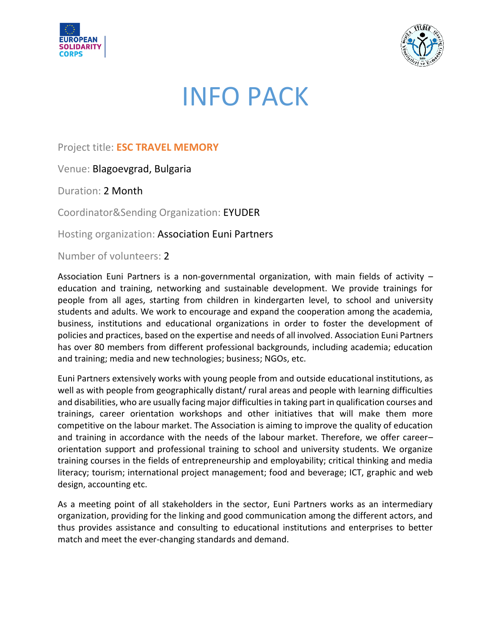



# INFO PACK

## Project title: **ESC TRAVEL MEMORY**

Venue: Blagoevgrad, Bulgaria

Duration: 2 Month

Coordinator&Sending Organization: EYUDER

Hosting organization: Association Euni Partners

Number of volunteers: 2

Association Euni Partners is a non-governmental organization, with main fields of activity – education and training, networking and sustainable development. We provide trainings for people from all ages, starting from children in kindergarten level, to school and university students and adults. We work to encourage and expand the cooperation among the academia, business, institutions and educational organizations in order to foster the development of policies and practices, based on the expertise and needs of all involved. Association Euni Partners has over 80 members from different professional backgrounds, including academia; education and training; media and new technologies; business; NGOs, etc.

Euni Partners extensively works with young people from and outside educational institutions, as well as with people from geographically distant/ rural areas and people with learning difficulties and disabilities, who are usually facing major difficulties in taking part in qualification courses and trainings, career orientation workshops and other initiatives that will make them more competitive on the labour market. The Association is aiming to improve the quality of education and training in accordance with the needs of the labour market. Therefore, we offer career– orientation support and professional training to school and university students. We organize training courses in the fields of entrepreneurship and employability; critical thinking and media literacy; tourism; international project management; food and beverage; ICT, graphic and web design, accounting etc.

As a meeting point of all stakeholders in the sector, Euni Partners works as an intermediary organization, providing for the linking and good communication among the different actors, and thus provides assistance and consulting to educational institutions and enterprises to better match and meet the ever-changing standards and demand.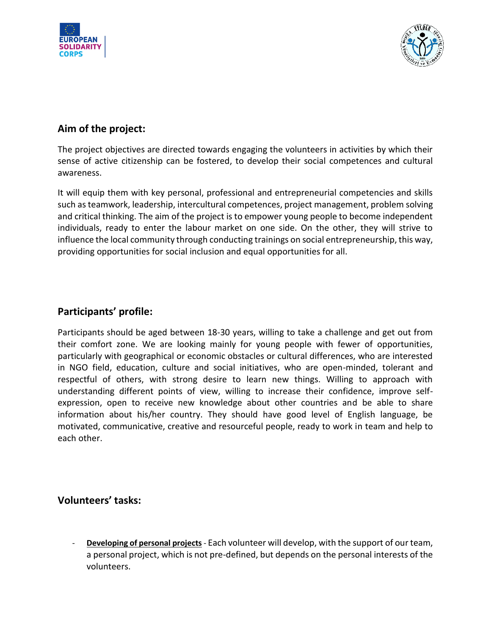



## **Aim of the project:**

The project objectives are directed towards engaging the volunteers in activities by which their sense of active citizenship can be fostered, to develop their social competences and cultural awareness.

It will equip them with key personal, professional and entrepreneurial competencies and skills such as teamwork, leadership, intercultural competences, project management, problem solving and critical thinking. The aim of the project is to empower young people to become independent individuals, ready to enter the labour market on one side. On the other, they will strive to influence the local community through conducting trainings on social entrepreneurship, this way, providing opportunities for social inclusion and equal opportunities for all.

### **Participants' profile:**

Participants should be aged between 18-30 years, willing to take a challenge and get out from their comfort zone. We are looking mainly for young people with fewer of opportunities, particularly with geographical or economic obstacles or cultural differences, who are interested in NGO field, education, culture and social initiatives, who are open-minded, tolerant and respectful of others, with strong desire to learn new things. Willing to approach with understanding different points of view, willing to increase their confidence, improve selfexpression, open to receive new knowledge about other countries and be able to share information about his/her country. They should have good level of English language, be motivated, communicative, creative and resourceful people, ready to work in team and help to each other.

#### **Volunteers' tasks:**

- **Developing of personal projects** - Each volunteer will develop, with the support of our team, a personal project, which is not pre-defined, but depends on the personal interests of the volunteers.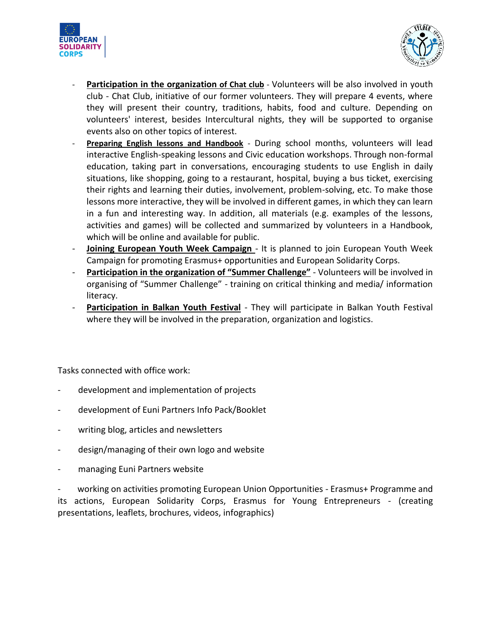



- **Participation in the organization of Chat club** Volunteers will be also involved in youth club - Chat Club, initiative of our former volunteers. They will prepare 4 events, where they will present their country, traditions, habits, food and culture. Depending on volunteers' interest, besides Intercultural nights, they will be supported to organise events also on other topics of interest.
- **Preparing English lessons and Handbook** During school months, volunteers will lead interactive English-speaking lessons and Civic education workshops. Through non-formal education, taking part in conversations, encouraging students to use English in daily situations, like shopping, going to a restaurant, hospital, buying a bus ticket, exercising their rights and learning their duties, involvement, problem-solving, etc. To make those lessons more interactive, they will be involved in different games, in which they can learn in a fun and interesting way. In addition, all materials (e.g. examples of the lessons, activities and games) will be collected and summarized by volunteers in a Handbook, which will be online and available for public.
- **Joining European Youth Week Campaign**  It is planned to join European Youth Week Campaign for promoting Erasmus+ opportunities and European Solidarity Corps.
- Participation in the organization of "Summer Challenge" Volunteers will be involved in organising of "Summer Challenge" - training on critical thinking and media/ information literacy.
- **Participation in Balkan Youth Festival** They will participate in Balkan Youth Festival where they will be involved in the preparation, organization and logistics.

Tasks connected with office work:

- development and implementation of projects
- development of Euni Partners Info Pack/Booklet
- writing blog, articles and newsletters
- design/managing of their own logo and website
- managing Euni Partners website

working on activities promoting European Union Opportunities - Erasmus+ Programme and its actions, European Solidarity Corps, Erasmus for Young Entrepreneurs - (creating presentations, leaflets, brochures, videos, infographics)